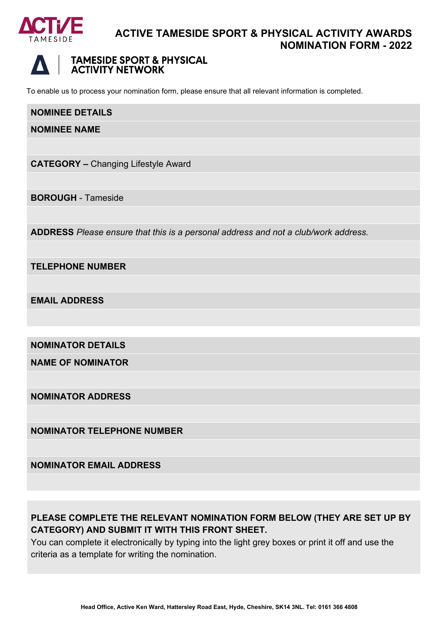

# **ACTIVE TAMESIDE SPORT & PHYSICAL ACTIVITY AWARDS NOMINATION FORM - 2022**



# **TAMESIDE SPORT & PHYSICAL ACTIVITY NETWORK**

To enable us to process your nomination form, please ensure that all relevant information is completed.

#### **NOMINEE DETAILS**

**NOMINEE NAME**

**CATEGORY –** Changing Lifestyle Award

**BOROUGH** - Tameside

**ADDRESS** *Please ensure that this is a personal address and not a club/work address.*

**TELEPHONE NUMBER**

**EMAIL ADDRESS**

**NOMINATOR DETAILS**

**NAME OF NOMINATOR**

**NOMINATOR ADDRESS**

**NOMINATOR TELEPHONE NUMBER**

**NOMINATOR EMAIL ADDRESS**

# **PLEASE COMPLETE THE RELEVANT NOMINATION FORM BELOW (THEY ARE SET UP BY CATEGORY) AND SUBMIT IT WITH THIS FRONT SHEET.**

You can complete it electronically by typing into the light grey boxes or print it off and use the criteria as a template for writing the nomination.